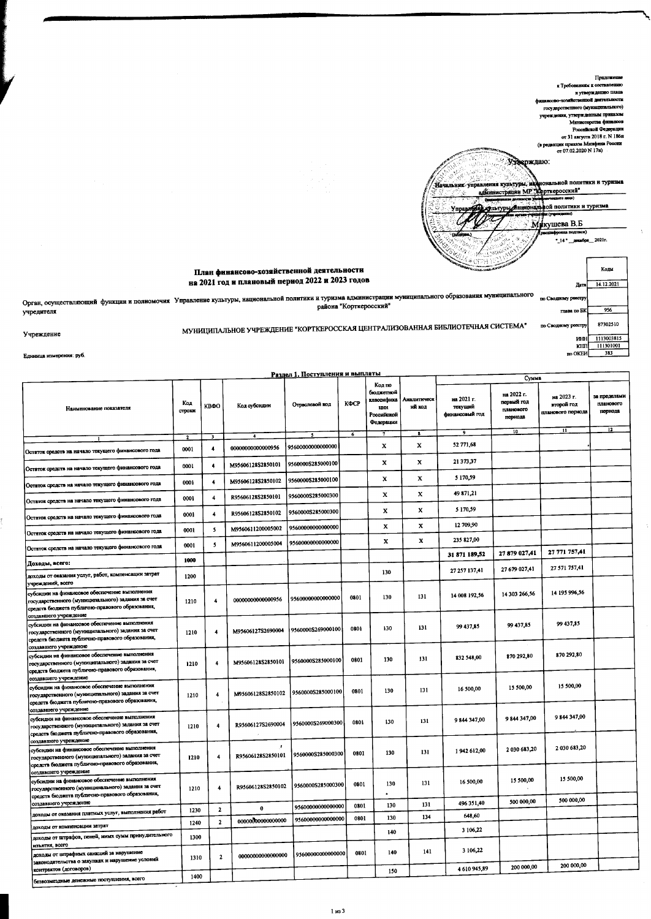

нца измерения: руб. Em

учредителя

Учреждение

ă.

|                                                                                                                                                                                |                         |                         |                        | Раздел 1. Поступления и выплаты        |                 |                                                                             |                       |                                         |                                                           |                                               |                                                         |
|--------------------------------------------------------------------------------------------------------------------------------------------------------------------------------|-------------------------|-------------------------|------------------------|----------------------------------------|-----------------|-----------------------------------------------------------------------------|-----------------------|-----------------------------------------|-----------------------------------------------------------|-----------------------------------------------|---------------------------------------------------------|
| Наименование показателя                                                                                                                                                        | Код<br>строки           | <b>KBOO</b>             | Код субсидии           | Отраслевой код                         | КФСР            | Код по<br>бюджетной<br>классифика<br><b>LINK</b><br>Российской<br>Федерации | Аналитическ<br>ий кол | на 2021 г.<br>текущий<br>финансовый год | Сумма<br>на 2022 г.<br>первый год<br>планового<br>периода | на 2023 г.<br>второй год<br>планового периода | за пределами<br>планового<br>порнода<br>$\overline{12}$ |
|                                                                                                                                                                                | $\overline{\mathbf{z}}$ | $\overline{\mathbf{3}}$ | -41                    | $\cdot$                                | $6\phantom{.0}$ | $\mathbf{7}$                                                                | $\mathbf{R}$          | 9                                       | 10                                                        | 11                                            |                                                         |
| Остаток средств на начало текущего финансового года                                                                                                                            | 0001                    | $\ddot{\phantom{a}}$    | 00000000000000956      | 9560000000000000                       |                 | x                                                                           | $\mathbf x$           | 52 771,68                               |                                                           |                                               |                                                         |
| Остаток средств на начало текущего финансового года                                                                                                                            | 0001                    | 4                       | M95606128S2850101      | 9560000S285000100                      |                 | x                                                                           | x                     | 21 373,37                               |                                                           |                                               |                                                         |
| Остаток средств на начало текущего финансового года                                                                                                                            | 0001                    | 4                       | M95606128S2850102      | 9560000S285000100                      |                 | x                                                                           | x                     | 5 170,59                                |                                                           |                                               |                                                         |
| Остаток средств на начало текущего финансового года                                                                                                                            | 0001                    | $\ddot{\phantom{a}}$    | R95606128S2850101      | 9560000S285000300                      |                 | x                                                                           | X                     | 49 871,21                               |                                                           |                                               |                                                         |
| Остаток средств на начало текущего финансового года                                                                                                                            | 0001                    | $\overline{4}$          | R95606128S2850102      | 9560000S285000300                      |                 | x                                                                           | X                     | 5 170,59<br>12 709,90                   |                                                           |                                               |                                                         |
| Остаток средств на начало текущего финансового года                                                                                                                            | 0001                    | $\mathbf{5}$            | M9560611200005002      | 95600000000000000                      |                 | X<br>x                                                                      | x<br>$\mathbf x$      | 235 827,00                              |                                                           |                                               |                                                         |
| Остаток средств на начало текущего финансового года                                                                                                                            | 0001                    | 5                       | M9560611200005004      | 95600000000000000                      |                 |                                                                             |                       | 31 871 189,52                           | 27 879 027,41                                             | 27 771 757,41                                 |                                                         |
| Доходы, всего:                                                                                                                                                                 | 1000                    |                         |                        |                                        |                 | 130                                                                         |                       | 27 257 137,41                           | 27 679 027,41                                             | 27 571 757,41                                 |                                                         |
| доходы от оказания услуг, работ, компенсации затрат<br>учреждений, всего                                                                                                       | 1200                    |                         |                        |                                        |                 |                                                                             |                       |                                         |                                                           |                                               |                                                         |
| субсидии на финансовое обеспечение выполнения<br>государственного (муниципального) задания за счет<br>средств бюджета публично-правового образования,<br>создавшего учреждение | 1210                    | 4                       | 0000000000000956       | 95600000000000000                      | 0801            | 130                                                                         | 131                   | 14 008 192,56                           | 14 303 266,56                                             | 14 195 996,56                                 |                                                         |
| субсидии на финансовое обеспечение выполнения<br>государственного (муниципального) задания за счет<br>средств бюджета публично-правового образования,                          | 1210                    | $\overline{\mathbf{4}}$ | M95606127S2690004      | 9560000S269000100                      | 0801            | 130                                                                         | 131                   | 99 437,85                               | 99 437,85                                                 | 99 437,85                                     |                                                         |
| создавшего учреждение<br>субсидии на финансовое обеспечение выполнения<br>государственного (муниципального) задания за счет<br>средств бюджета публично-правового образования, | 1210                    | 4                       | M95606128S2850101      | 9560000S285000100                      | 0801            | 130                                                                         | 131                   | 832 548,00                              | 870 292,80                                                | 870 292,80                                    |                                                         |
| создавшего учреждение<br>субсидии на финансовое обеспечение выполнения<br>государственного (муниципального) задания за счет<br>средств бюджета публично-правового образования, | 1210                    | 4                       | M95606128S2850102      | 9560000\$285000100                     | 0801            | 130                                                                         | 131                   | 16 500,00                               | 15 500,00                                                 | 15 500,00                                     |                                                         |
| создавшего учреждение<br>субсидии на финансовое обеспечение выполнения<br>государственного (муниципального) задания за счет<br>средств бюджета публично-правового образования, | 1210                    | $\overline{4}$          | R95606127S2690004      | 9560000S269000300                      | 0801            | 130                                                                         | 131                   | 9 844 347,00                            | 9 844 347,00                                              | 9 844 347,00                                  |                                                         |
| создавшего учреждение<br>субсидии на финансовое обеспечение выполнения<br>государственного (муниципального) задания за счет<br>средств бюджета публично-правового образования, | 1210                    | 4                       | R95606128S2850101      | 9560000S285000300                      | 0801            | 130                                                                         | 131                   | 1942 612,00                             | 2 030 683,20                                              | 2 030 683,20                                  |                                                         |
| создавшего учреждение<br>субсидии на финансовое обеспечение выполнения<br>государственного (муниципального) задания за счет<br>средств бюджета публично-правового образования, | 1210                    | 4                       | R95606128S2850102      | 9560000S285000300                      | 0801            | 130                                                                         | 131                   | 16 500,00                               | 15 500,00                                                 | 15 500,00                                     |                                                         |
| создавшего учреждение                                                                                                                                                          |                         |                         |                        |                                        | 0801            | 130                                                                         | 131                   | 496 351,40                              | 500 000,00                                                | 500 000,00                                    |                                                         |
| доходы от оказания платных услуг, выполнения работ                                                                                                                             | 1230                    | $\mathbf{2}$            | 0<br>00000000000000000 | 95600000000000000<br>95600000000000000 | 0801            | 130                                                                         | 134                   | 648,60                                  |                                                           |                                               |                                                         |
| доходы от компенсации затрат                                                                                                                                                   | 1240                    | $\mathbf{2}$            |                        |                                        |                 | 140                                                                         |                       | 3 106,22                                |                                                           |                                               |                                                         |
| доходы от штрафов, пеней, иных сумм принудительного<br>изъятия, всего                                                                                                          | 1300                    |                         |                        |                                        |                 |                                                                             | 141                   | 3 106,22                                |                                                           |                                               |                                                         |
| доходы от штрафных санкций за нарушение<br>законодательства о закупках и нарушение условий                                                                                     | 1310                    | $\mathbf{2}$            | 00000000000000000      | 95600000000000000                      | 0801            | 140                                                                         |                       | 4610945,89                              | 200 000,00                                                | 200 000,00                                    |                                                         |
| контрактов (договоров)<br>безвозмездные денежные поступления, всего                                                                                                            | 1400                    |                         |                        |                                        |                 | 150                                                                         |                       |                                         |                                                           |                                               |                                                         |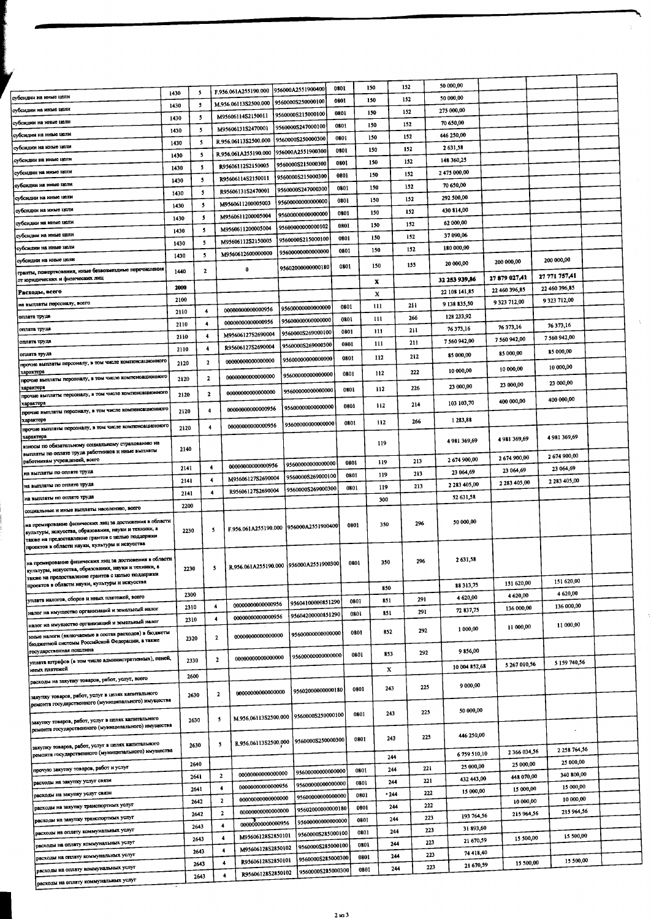|                                                                                                                |      |                         |                         |                      |                                        |      |      |        |            | 50 000,00           |               |                     |  |    |
|----------------------------------------------------------------------------------------------------------------|------|-------------------------|-------------------------|----------------------|----------------------------------------|------|------|--------|------------|---------------------|---------------|---------------------|--|----|
| субсидии на иные цели                                                                                          | 1430 | -5                      |                         | F.956.061A255190.000 | 956000A2551900400                      | 0801 | 150  |        | 152<br>152 | 50 000,00           |               |                     |  |    |
| субсидин на иные цели                                                                                          | 1430 | 5                       |                         | M.956.06113S2500.000 | 9560000S250000100                      | 0301 | 150  |        |            | 275 000,00          |               |                     |  |    |
| субсидии на иные цели                                                                                          | 1430 | $\overline{\mathbf{5}}$ |                         | M95606114S2150011    | 9560000S215000100                      | 0801 | 150  |        | 152        | 70 650,00           |               |                     |  |    |
| субсидии на иные цели                                                                                          | 1430 | -5                      |                         | M95606131S2470001    | 9560000S247000100                      | 0801 | 150  |        | 152        |                     |               |                     |  |    |
|                                                                                                                | 1430 | 5                       |                         | R.956.06113S2500.000 | 9560000S250000300                      | 0801 | 150  |        | 152        | 446 250,00          |               |                     |  |    |
| субсидии на иные цели                                                                                          | 1430 | 5                       |                         | R.956.061A255190.000 | 956000A2551900300                      | 0801 | 150  |        | 152        | 2631,58             |               |                     |  |    |
| субсидии на иные цели                                                                                          | 1430 | 5                       |                         | R95606112S2150005    | 9560000S215000300                      | 0801 | 150  |        | 152        | 148 360,25          |               |                     |  |    |
| субсидии на иные цели                                                                                          | 1430 | $\mathbf{5}$            |                         | R95606114S2150011    | 9560000S215000300                      | 0801 | 150  |        | 152        | 2475 000,00         |               |                     |  |    |
| субсидии на иные цели                                                                                          | 1430 | 5                       |                         | R95606131S2470001    | 9560000S247000300                      | 0801 | 150  |        | 152        | 70 650,00           |               |                     |  |    |
| субсидни на иные цели                                                                                          | 1430 | -5                      |                         | M9560611200005003    | 95600000000000000                      | 0801 | 150  |        | 152        | 292 500,00          |               |                     |  |    |
| тубсидии на иные цели                                                                                          | 1430 | -5                      |                         | M9560611200005004    | 95600000000000000                      | 0801 | 150  |        | 152        | 430 814,00          |               |                     |  |    |
| субсидии на иные цели                                                                                          | 1430 | $\overline{\mathbf{3}}$ |                         | M9560611200005004    | 95600000000000102                      | 0801 | 150  |        | 152        | 62 000,00           |               |                     |  |    |
| субсидни на иные цели                                                                                          | 1430 | 5                       |                         | M95606112S2150005    | 9560000S215000100                      | 0801 | 150  |        | 152        | 37 090,06           |               |                     |  |    |
| субсидии на иные цели                                                                                          |      | 5                       |                         | M9560612600000000    | 95600000000000000                      | 0801 | 150  |        | 152        | 180 000,00          |               |                     |  |    |
| субсидии на иные цели                                                                                          | 1430 |                         |                         |                      | 95602000000000180                      | 0801 | 150  |        | 155        | 20 000,00           | 200 000,00    | 200 000,00          |  |    |
| гранты, пожертвования, иные безвозмездные перечисления<br>от юридических и физических лиц                      | 1440 | $\mathbf{2}$            |                         | 0                    |                                        |      |      |        |            | 32 253 939,86       | 27 879 027,41 | 27 771 757,41       |  |    |
|                                                                                                                | 2000 |                         |                         |                      |                                        |      | x    |        |            |                     | 22 460 396,85 | 22 460 396,85       |  |    |
| Расходы, всего                                                                                                 | 2100 |                         |                         |                      |                                        |      | x    |        |            | 22 108 141,85       | 9323712,00    | 9323712,00          |  |    |
| на выплаты персоналу, всего                                                                                    | 2110 | 4                       |                         | 00000000000000956    | 95600000000000000                      | 0801 | 111  |        | 211        | 9 138 835,50        |               |                     |  |    |
| оглата труда                                                                                                   | 2110 | 4                       |                         | 0000000000000956     | 95600000000000000                      | 0801 | 111  |        | 266        | 128 233,92          |               | 76 373.16           |  | ÷. |
| оплата труда                                                                                                   | 2110 | 4                       |                         | M95606127S2690004    | 9560000S269000100                      | 0801 |      | 111    | 211        | 76 373,16           | 76 373,16     | 7 560 942,00        |  |    |
| оплата труда                                                                                                   | 2110 | -4                      |                         | R95606127S2690004    | 9560000S269000300                      | 0801 |      | 111    | 211        | 7 560 942,00        | 7 560 942,00  |                     |  |    |
| оглата труда<br>прочие выплаты персоналу, в том числе компенсационного                                         |      | $\mathbf{2}$            |                         | 00000000000000000    | 95600000000000000                      | 0801 |      | 112    | 212        | 85 000,00           | 85 000,00     | 85 000,00           |  |    |
| характер <b>і</b>                                                                                              | 2120 |                         |                         |                      |                                        | 0801 |      | 112    | 222        | 10 000,00           | 10 000,00     | 10 000,00           |  |    |
| прочне выплаты персоналу, в том числе компенсационного                                                         | 2120 | 2                       |                         | 00000000000000000    | 95600000000000000                      |      |      |        |            |                     | 23 000,00     | 23 000,00           |  |    |
| характера<br>прочие выплаты персоналу, в том чноле компенсационного                                            | 2120 | $\mathbf{2}$            |                         | 00000000000000000    | 95600000000000000                      | 0801 |      | 112    | 226        | 23 000,00           |               |                     |  |    |
| характера                                                                                                      |      |                         |                         | 00000000000000956    | 95600000000000000                      | 0801 |      | 112    | 214        | 103 103,70          | 400 000,00    | 400 000,00          |  |    |
| прочне выплаты персоналу, в том числе компенсационного<br>характера                                            | 2120 |                         |                         |                      |                                        |      |      |        | 266        | 1 283,88            |               |                     |  |    |
| прочие выплаты персоналу, в том числе компенсационного                                                         | 2120 | 4                       |                         | 00000000000000956    | 95600000000000000                      | 0801 |      | 112    |            |                     |               |                     |  |    |
| характера<br>взносы по обязательному социальному страхованию на                                                |      |                         |                         |                      |                                        |      |      | 119    |            | 4981369,69          | 4981369,69    | 4 981 369,69        |  |    |
| выплаты по оплате труда работников и иные выплаты                                                              | 2140 |                         |                         |                      |                                        |      |      |        |            |                     |               | 2674900,00          |  |    |
| работникам учреждений, всего                                                                                   | 2141 | $\overline{4}$          |                         | 0000000000000956     | 9560000000000000                       | 0801 |      | 119    | 213        | 2674900,00          | 2674900,00    | 23 064,69           |  |    |
| на выплаты по оплате труда                                                                                     | 2141 | $\overline{\mathbf{4}}$ |                         | M95606127S2690004    | 9560000S269000100                      | 0801 |      | 119    | 213        | 23 064,69           | 23 064,69     | 2 2 8 3 4 0 5 , 0 0 |  |    |
| на выплаты по оплате труда                                                                                     |      | $\ddot{\phantom{1}}$    |                         | R95606127S2690004    | 9560000S269000300                      | 0801 |      | 119    | 213        | 2 2 8 3 4 0 5 , 0 0 | 2 283 405,00  |                     |  |    |
| на выплаты по оплате труда                                                                                     | 2141 |                         |                         |                      |                                        |      |      | 300    |            | 52 631,58           |               |                     |  |    |
| социальные и иные выплаты населению, всего                                                                     | 2200 |                         |                         |                      |                                        |      |      |        |            |                     |               |                     |  |    |
| на премирование физических лиц за достижения в области<br>культуры, искусства, образования, науки и техники, а | 2230 |                         | 5                       |                      | F.956.061A255190.000 956000A2551900400 |      | 0801 | 350    | 296        | 50 000,00           |               |                     |  |    |
| также на предоставление грантов с целью поддержки                                                              |      |                         |                         |                      |                                        |      |      |        |            |                     |               |                     |  |    |
| проектов в области науки, культуры и искусства                                                                 |      |                         |                         |                      |                                        |      |      |        |            |                     |               |                     |  |    |
| на премирование физических лиц за достижения в области<br>культуры, искусства, образования, науки и техники, а |      |                         | 5                       |                      | R.956.061A255190.000 956000A2551900300 |      | 0801 | 350    | 296        | 2631,58             |               |                     |  |    |
| также на предоставление грантов с целью поддержки                                                              | 2230 |                         |                         |                      |                                        |      |      |        |            |                     |               |                     |  |    |
| проектов в области науки, культуры и искусства                                                                 |      |                         |                         |                      |                                        |      |      | 850    |            | 88 313,75           | 151 620,00    | 151 620,00          |  |    |
| уплата налогов, сборов и иных платежей, всего                                                                  | 2300 |                         |                         |                      | 95604100000851290                      |      | 0801 | 851    | 291        | 4 620,00            | 4 620,00      | 4 620,00            |  |    |
| налог на имущество организаций и земельный налог                                                               | 2310 |                         | 4                       | 00000000000000956    | 95604200000851290                      |      | 0801 | 851    | 291        | 72 837,75           | 136 000,00    | 136 000,00          |  |    |
| налог на имущество организаций и земельный налог                                                               | 2310 |                         | 4                       | 00000000000000956    |                                        |      |      |        |            |                     | 11 000,00     | 11 000,00           |  |    |
| иные налоги (включасмые в состав расходов) в бюджеты                                                           | 2320 |                         | 2                       | 00000000000000000    | 95600000000000000                      |      | 0801 | 852    | 292        | 1 000,00            |               |                     |  |    |
| бюджетной системы Российской Федерации, а также<br>государственная пошлина                                     |      |                         |                         |                      |                                        |      |      |        |            | 9856,00             |               |                     |  |    |
| уплата штрафов (в том числе административных), пеней,                                                          | 2330 |                         | $\mathbf{2}$            | 00000000000000000    | 95600000000000000                      |      | 0801 | 853    | 292        |                     | 5 267 010,56  | 5 159 740,56        |  |    |
| иных платежей                                                                                                  | 2600 |                         |                         |                      |                                        |      |      | х      |            | 10 004 852,68       |               |                     |  |    |
| расходы на закупку товаров, работ, услуг, всего                                                                |      |                         |                         |                      |                                        |      |      |        | 225        | 9 000,00            |               |                     |  |    |
| закупку товаров, работ, услуг в целях капитального                                                             |      | 2630                    | 2                       | 00000000000000000    | 95602000000000180                      |      | 0801 | 243    |            |                     |               |                     |  |    |
| ремонта государственного (муниципального) имущества                                                            |      |                         |                         |                      |                                        |      |      |        | 225        | 50 000,00           |               |                     |  |    |
| закупку товаров, работ, услуг в целях капитального                                                             |      | 2630                    | $\mathbf{5}$            |                      | M.956.06113S2500.000 9560000S250000100 |      | 0801 | 243    |            |                     |               |                     |  |    |
| ремонта государственного (муниципального) имущества                                                            |      |                         |                         |                      |                                        |      |      |        |            | 446 250,00          |               | ٠                   |  |    |
| закупку товаров, работ, услуг в целях капитального                                                             |      | 2630                    | $\overline{\mathbf{3}}$ |                      | R.956.06113S2500.000 9560000S250000300 |      | 0801 | 243    | 225        |                     |               |                     |  |    |
| ремонта государственного (муниципального) имущества                                                            |      |                         |                         |                      |                                        |      |      | 244    |            | 6759 510,10         | 2 366 034,56  | 2 2 3 3 7 6 4 , 5 6 |  |    |
| прочую закупку товаров, работ и услуг                                                                          |      | 2640                    |                         |                      |                                        |      | 0801 | 244    | 221        | 25 000,00           | 25 000,00     | 25 000,00           |  |    |
| расходы на закупку услуг связи                                                                                 |      | 2641                    | $\mathbf{z}$            | 00000000000000000    | 95600000000000000                      |      | 0801 | 244    | 221        | 432 443,00          | 448 070,00    | 340 800,00          |  |    |
| расходы на закупку услуг связи                                                                                 |      | 2641                    | 4                       | 0000000000000956     | 95600000000000000                      |      |      | $-244$ | 222        | 15 000,00           | 15 000,00     | 15 000,00           |  |    |
| расходы на закупку транспортных услуг                                                                          |      | 2642                    | $\overline{2}$          | 00000000000000000    | 95600000000000000                      |      | 0301 |        | 222        |                     | 10 000,00     | 10 000,00           |  |    |
|                                                                                                                |      | 2642                    | $\overline{2}$          | 00000000000000000    | 95602000000000180                      |      | 0801 | 244    | 223        | 193 764,56          | 215 964,56    | 215 964,56          |  |    |
| расходы на закупку транспортных услуг                                                                          |      | 2643                    | 4                       | 0000000000000956     | 95600000000000000                      |      | 0801 | 244    | 223        | 31 893,60           |               |                     |  |    |
| расходы на оплату коммунальных услуг                                                                           |      | 2643                    | 4                       | M95606128S2850101    | 9560000S285000100                      |      | 0801 | 244    | 223        | 21 670,59           | 15 500,00     | 15 500,00           |  |    |
| расходы на оплату коммунальных услуг                                                                           |      | 2643                    | 4                       | M95606128S2850102    | 9560000S285000100                      |      | 0801 | 244    |            | 74 418,40           |               |                     |  |    |
| расходы на оплату коммунальных услуг                                                                           |      | 2643                    | $\ddot{\phantom{0}}$    | R95606128S2850101    | 9560000S285000300                      |      | 0801 | 244    |            | 223<br>21 670,59    | 15 500,00     | 15 500,00           |  |    |
| расходы на оплату коммунальных услуг                                                                           |      | 2643                    | 4                       | R95606128S2850102    | 9560000S285000300                      |      | 0801 | 244    |            | 223                 |               |                     |  |    |
| посколы на оплату коммунальных услуг                                                                           |      |                         |                         |                      |                                        |      |      |        |            |                     |               |                     |  |    |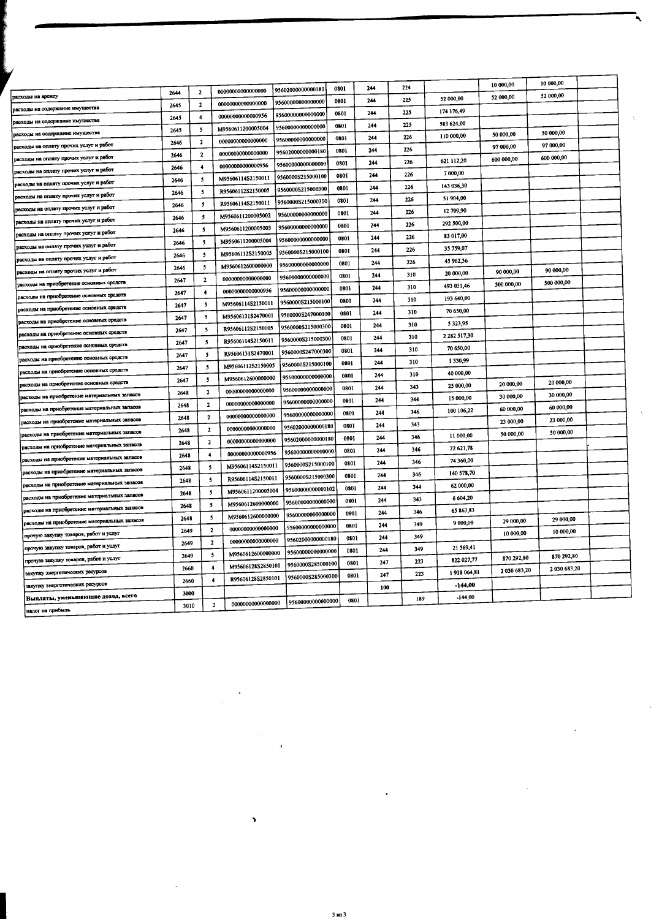|                                              |      |                              |                   |                   |      |     |     |                         | 10 000,00    | 10 000,00    |  |
|----------------------------------------------|------|------------------------------|-------------------|-------------------|------|-----|-----|-------------------------|--------------|--------------|--|
| асходы на аренду                             | 2644 | $\overline{2}$               | 00000000000000000 | 95602000000000180 | 0801 | 244 | 224 |                         | 52 000,00    | 52 000,00    |  |
| асходы на содержание имущества               | 2645 | $\mathbf{2}$                 | 00000000000000000 | 95600000000000000 | 0801 | 244 | 225 | 52 000,00<br>174 176,49 |              |              |  |
| асходы на содержание имущества               | 2645 | 4                            | 00000000000000956 | 95600000000000000 | 0801 | 244 | 225 | 583 624,00              |              |              |  |
| асходы на содержание имущества               | 2645 | 5                            | M9560611200005004 | 95600000000000000 | 0801 | 244 | 225 | 110 000,00              | 50 000,00    | 50 000,00    |  |
| асходы на оплату прочих услуг и работ        | 2646 | $\mathbf{2}$                 | 00000000000000000 | 9560000000000000  | 0801 | 244 | 226 |                         | 97 000,00    | 97 000,00    |  |
| расходы на оплату прочих услуг и работ       | 2646 | $\mathbf{2}$                 | 00000000000000000 | 95602000000000180 | 0801 | 244 | 226 | 621 112,20              | 600 000,00   | 600 000 00   |  |
| расходы на оплату прочих услуг и работ       | 2646 | $\blacktriangleleft$         | 00000000000000956 | 9560000000000000  | 0801 | 244 | 226 | 7 000,00                |              |              |  |
| расходы на оплату прочих услуг и работ       | 2646 | 5                            | M95606114S2150011 | 9560000S215000100 | 0801 | 244 | 226 | 143 036,30              |              |              |  |
| расходы на оплату прочих услуг и работ       | 2646 | 5                            | R95606112S2150005 | 9560000S215000300 | 0801 | 244 | 226 |                         |              |              |  |
| расходы на оглату прочих услуг и работ       | 2646 | 5                            | R95606114S2150011 | 9560000S215000300 | 0801 | 244 | 226 | 51 904,00               |              |              |  |
| расходы на оплату прочих услуг и работ       | 2646 | 5                            | M9560611200005002 | 95600000000000000 | 0801 | 244 | 226 | 12 709,90               |              |              |  |
| расходы на оплату прочих услуг и работ       | 2646 | $\overline{\mathbf{5}}$      | M9560611200005003 | 95600000000000000 | 0801 | 244 | 226 | 292 500,00              |              |              |  |
| расходы на оплату прочих услуг и работ       | 2646 | 5                            | M9560611200005004 | 9560000000000000  | 0801 | 244 | 226 | 83 017,00               |              |              |  |
| расходы на оплату прочих услуг и работ       | 2646 | $\mathbf{5}$                 | M95606112S2150005 | 9560000S215000100 | 0801 | 244 | 226 | 35 759,07               |              |              |  |
| расходы на оплату прочих услуг и работ       | 2646 | $\mathbf{S}$                 | M9560612600000000 | 95600000000000000 | 0801 | 244 | 226 | 45 962,56               | 90 000,00    | 90 000,00    |  |
| расходы на приобретение основных средств     | 2647 | $\mathbf{2}$                 | 00000000000000000 | 95600000000000000 | 0801 | 244 | 310 | 20 000,00               |              | 500 000,00   |  |
|                                              | 2647 | $\ddot{\bullet}$             | 00000000000000956 | 9560000000000000  | 0801 | 244 | 310 | 493 031,46              | 500 000,00   |              |  |
| расходы на приобретение основных средств     | 2647 | $\mathbf{5}$                 | M95606114S2150011 | 9560000S215000100 | 0801 | 244 | 310 | 193 640,00              |              |              |  |
| расходы на приобретение основных средств     | 2647 | 5                            | M95606131S2470001 | 9560000S247000100 | 0801 | 244 | 310 | 70 650,00               |              |              |  |
| расходы на приобретение основных средств     | 2647 | -5                           | R95606112S2150005 | 9560000S215000300 | 0801 | 244 | 310 | 5323.95                 |              |              |  |
| расходы на приобретение основных средств     | 2647 | 5                            | R95606114S2150011 | 9560000S215000300 | 0801 | 244 | 310 | 2 282 517,30            |              |              |  |
| расходы на приобретение основных средств     | 2647 | $\mathbf{5}$                 | R95606131S2470001 | 9560000S247000300 | 0801 | 244 | 310 | 70 650,00               |              |              |  |
| расходы на приобретение основных средств     | 2647 | 5                            | M95606112S2150005 | 9560000S215000100 | 0801 | 244 | 310 | 1330,99                 |              |              |  |
| расходы на приобретение основных средств     | 2647 | 5                            | M9560612600000000 | 95600000000000000 | 0801 | 244 | 310 | 40 000,00               |              | 20 000,00    |  |
| расходы на приобретение основных средств     | 2648 | $\mathbf{2}$                 | 00000000000000000 | 95600000000000000 | 0801 | 244 | 343 | 25 000,00               | 20 000,00    | 30 000,00    |  |
| расходы на приобретение материальных запасов | 2648 | $\overline{2}$               | 00000000000000000 | 95600000000000000 | 0801 | 244 | 344 | 15 000,00               | 30 000,00    | 60 000,00    |  |
| расходы на приобретение материальных запасов | 2648 | $\mathbf{2}$                 | 00000000000000000 | 95600000000000000 | 0801 | 244 | 346 | 100 106,22              | 60 000,00    |              |  |
| расходы на приобретение материальных запасов | 2648 | $\mathbf{2}$                 | 00000000000000000 | 95602000000000180 | 0801 | 244 | 343 |                         | 23 000,00    | 23 000,00    |  |
| асходы на приобретение материальных запасов  | 2648 | $\mathbf{2}$                 | 00000000000000000 | 95602000000000180 | 0801 | 244 | 346 | 11 000,00               | 50 000,00    | 50 000,00    |  |
| расходы на приобретение материальных запасов | 2648 | 4                            | 00000000000000956 | 95600000000000000 | 0801 | 244 | 346 | 22 621,78               |              |              |  |
| расходы на приобретение материальных запасов | 2648 | -5                           | M95606114S2150011 | 9560000S215000100 | 0801 | 244 | 346 | 74 360,00               |              |              |  |
| расходы на приобретение материальных запасов | 2648 | -5                           | R95606114S2150011 | 9560000S215000300 | 0801 | 244 | 346 | 140 578,70              |              |              |  |
| расходы на приобретение материальных запасов | 2648 | 5                            | M9560611200005004 | 95600000000000102 | 0801 | 244 | 344 | 62 000,00               |              |              |  |
| расходы на приобретение материальных запасов | 2648 | 5                            | M9560612600000000 | 9560000000000000  | 0801 | 244 | 343 | 6 604,20                |              |              |  |
| расходы на приобретсние материальных запасов | 2648 | 5                            | M9560612600000000 | 95600000000000000 | 0801 | 244 | 346 | 65 863,83               |              |              |  |
| расходы на приобретение материальных запасов |      | $\mathbf{2}$                 | 00000000000000000 | 9560000000000000  | 0801 | 244 | 349 | 9 000,00                | 29 000,00    | 29 000,00    |  |
| прочую закупку товаров, работ и услуг        | 2649 |                              | 00000000000000000 | 95602000000000180 | 0801 | 244 | 349 |                         | 10 000,00    | 10 000,00    |  |
| прочую закупку товаров, работ и услуг        | 2649 | $\mathbf{2}$<br>$\mathbf{5}$ | M9560612600000000 | 95600000000000000 | 0801 | 244 | 349 | 21 569,41               |              |              |  |
| прочую закупку товаров, работ и услуг        | 2649 |                              | M95606128S2850101 | 9560000S285000100 | 0801 | 247 | 223 | 822 027,77              | 870 292,80   | 870 292,80   |  |
| закупку энергетических ресурсов              | 2660 | 4                            | R95606128S2850101 | 9560000S285000300 | 0801 | 247 | 223 | 1918064,81              | 2 030 683,20 | 2 030 683,20 |  |
| закупку энергетических ресурсов              | 2660 | 4                            |                   |                   |      | 100 |     | $-144,00$               |              |              |  |
| Выплаты, уменьшающие доход, всего            | 3000 |                              |                   | 95600000000000000 | 0801 |     | 189 | $-144.00$               |              |              |  |
| налог на прибыль                             | 3010 | $\mathbf{2}$                 | 00000000000000000 |                   |      |     |     |                         |              |              |  |

¥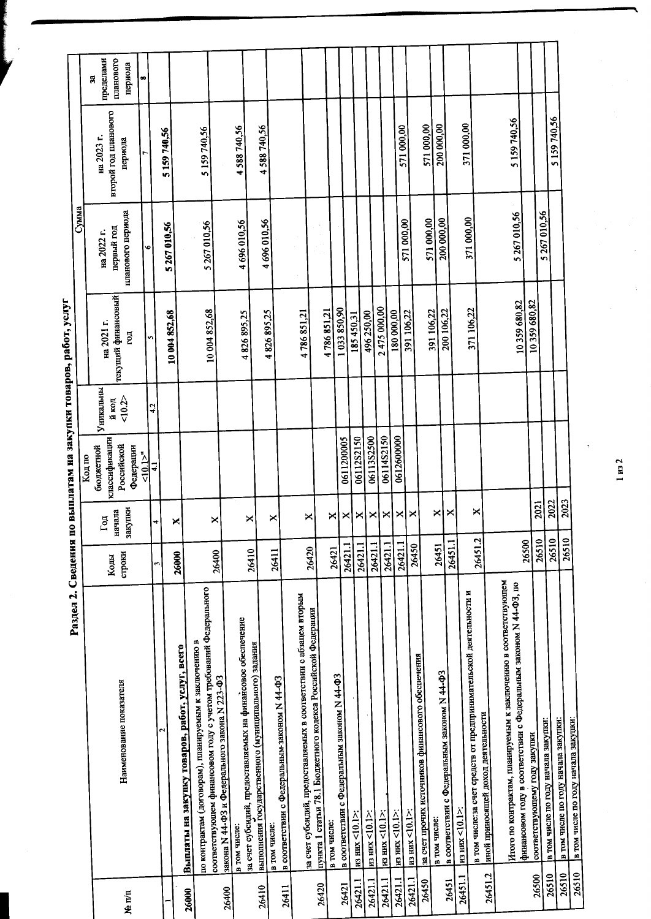Раздел 2. Сведения по выплатам на закупки товаров, работ, услуг

|         |                                                                                                                           |         |                       |                            |                    |                                      | гмму                     |                                   |                        |
|---------|---------------------------------------------------------------------------------------------------------------------------|---------|-----------------------|----------------------------|--------------------|--------------------------------------|--------------------------|-----------------------------------|------------------------|
|         |                                                                                                                           |         |                       | Код по                     |                    |                                      |                          |                                   | g                      |
|         |                                                                                                                           | Коды    | начала<br>$\Gamma$ од | классификации<br>бюджетной | Уникальны<br>й код | на 2021 г.                           | первый год<br>на 2022 г. | второй год шанового<br>на 2023 г. | пределами<br>планового |
| Ne n/n  | Наименование показателя                                                                                                   | строки  | закупки               | Российской<br>Федерации    | 10.2               | текущий финансовый<br>$\overline{5}$ | планового периода        | периода                           | периода                |
|         |                                                                                                                           |         |                       | 510.12                     | 4.2                |                                      | ۰                        |                                   | œ                      |
|         |                                                                                                                           | 3       |                       | $\ddot{•}$                 |                    |                                      |                          |                                   |                        |
|         | $\mathbf{\tilde{c}}$                                                                                                      |         |                       |                            |                    | 10 004 852,68                        | 5267010,56               | 5159740,56                        |                        |
| 26000   | Выплаты на закупку товаров, работ, услуг, всего                                                                           | 26000   | ×                     |                            |                    |                                      |                          |                                   |                        |
|         | соответствующем финансовом году с учетом требований Федерального<br>по контрактам (договорам), планируемым к заключению в |         |                       |                            |                    | 10 004 852,68                        | 5 267 010,56             | 5 159 740,56                      |                        |
| 26400   | закона N 44-ФЗ и Федерального закона N 223-ФЗ                                                                             | 26400   | ×                     |                            |                    |                                      |                          |                                   |                        |
|         | за счет субсидий, предоставляемых на финансовое обеспечение<br>в том числе:                                               | 26410   | ×                     |                            |                    | 4826895,25                           | 4 696 010,56             | 4588740,56                        |                        |
| 26410   | выполнения государственного (муниципального) задания<br>в том числе:                                                      |         | ×                     |                            |                    | 4 826 895,25                         | 4696010,56               | 4 588 740,56                      |                        |
| 26411   | в соответствии с Федеральным законом N 44-ФЗ                                                                              | 26411   |                       |                            |                    |                                      |                          |                                   |                        |
|         | за счет субсидий, предоставляемых в соответствии с абзацем вторым                                                         | 26420   | ×                     |                            |                    | 4786851,21                           |                          |                                   |                        |
| 26420   | пункта 1 статьи 78.1 Бюджетного колекса Российской Федерации                                                              |         |                       |                            |                    |                                      |                          |                                   |                        |
|         | в том числе:                                                                                                              | 26421   | ×                     |                            |                    | 4786851,21                           |                          |                                   |                        |
| 26421   | в соответствии с Федеральным законом N 44-ФЗ                                                                              | 26421.1 | ×                     | 0611200005                 |                    | 1033850,90                           |                          |                                   |                        |
| 26421.1 | $_{12}$ HMX <10.1>:                                                                                                       | 26421.1 | ×                     | 06112S2150                 |                    | 185450,31                            |                          |                                   |                        |
| 26421.1 | $\frac{\text{m}}{\text{m}}$ HMX <10.1>:                                                                                   | 26421.1 | ×                     | 0611382500                 |                    | 496 250,00                           |                          |                                   |                        |
| 26421.1 | $_{\rm H3-HMX}$ <10.1>:                                                                                                   | 26421.1 | ×                     | 06114S2150                 |                    | 2475000,00                           |                          |                                   |                        |
| 26421.1 | $_{12}$ HM < 10.1>:                                                                                                       | 26421.1 | ×                     | 0612600000                 |                    | 180 000,00                           |                          | 571 000,00                        |                        |
| 26421.1 | $\frac{\text{m}}{\text{m}}$ $\frac{\text{m}}{\text{m}}$ $\frac{1}{2}$                                                     | 26450   | ×                     |                            |                    | 391 106,22                           | 571000,00                |                                   |                        |
| 26450   | за счет прочих источников финансового обеспечения                                                                         |         |                       |                            |                    |                                      | 571 000,00               | 571 000,00                        |                        |
|         | в том числе:                                                                                                              | 26451   | ×                     |                            |                    | 391 106,22<br>200 106,22             | 200 000,00               | 200 000,00                        |                        |
| 26451   | в соответствии с Федеральным законом N 44-ФЗ                                                                              | 26451.1 | ×                     |                            |                    |                                      |                          |                                   |                        |
| 26451.1 | в том числе:за счет средств от предпринимательской деятельности и<br>m3 HMX <10.1>:                                       |         |                       |                            |                    | 371 106,22                           | 371000,00                | 371 000,00                        |                        |
| 26451.2 | иной приносящей доход деятельности                                                                                        | 26451.2 | ×                     |                            |                    |                                      |                          |                                   |                        |
|         | Итого по контрактам, планируемым к заключению в соответствующем                                                           |         |                       |                            |                    |                                      |                          | 5 159 740,56                      |                        |
|         | финансовом году в соответствии с Федеральным законом N 44-ФЗ, по                                                          | 26500   |                       |                            |                    | 10359680,82                          | 5 267 010,56             |                                   |                        |
| 26500   | соответствующему году закупки                                                                                             | 26510   | 2021                  |                            |                    | 10359 680,82                         |                          |                                   |                        |
| 26510   | в том числе по году начала закупки:                                                                                       | 26510   | 2022                  |                            |                    |                                      | 5 267 010,56             |                                   |                        |
| 26510   | в том числе по году начала закупки:                                                                                       | 26510   | 2023                  |                            |                    |                                      |                          | 5 159 740,56                      |                        |
| 26510   | в том числе по году начала закупки:                                                                                       |         |                       |                            |                    |                                      |                          |                                   |                        |

 $1 \text{ ms } 2$ 

 $\overline{\phantom{a}}$ 

 $\frac{1}{2}$ 

 $\ddot{\phantom{0}}$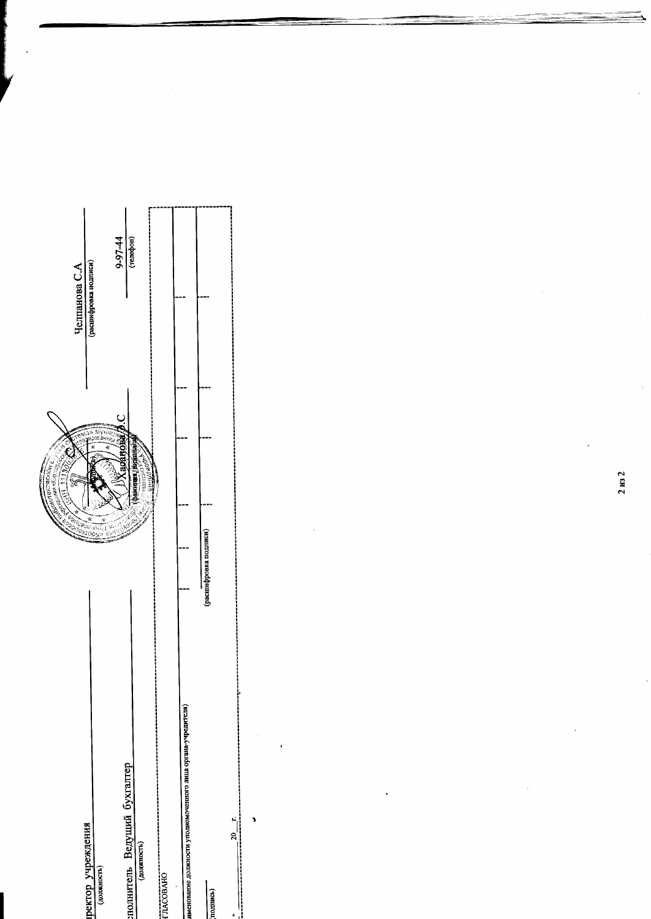|                                                              |                       | <b>CONGRESSION</b><br>-acke eway |                            |
|--------------------------------------------------------------|-----------------------|----------------------------------|----------------------------|
| иректор учреждения                                           |                       | S                                | Челпанова С.А              |
| (должность)                                                  |                       | M<br>JE                          | (расшифровка подписи)      |
|                                                              |                       |                                  | $\frac{9-97-44}{(200)(1)}$ |
| полнитель Ведущий бухгалтер                                  |                       | Lini, tantuwad                   |                            |
| (должность)                                                  |                       | cewareas-                        |                            |
| гласовано                                                    |                       |                                  |                            |
| именование должности уполномоченного лица органа-учредителя) |                       |                                  |                            |
| (подпись)                                                    | (расшифровка подписи) |                                  |                            |
| ;;<br>;;<br>$\frac{1}{20}$ .<br>s                            |                       |                                  |                            |

 $\ddot{\phantom{0}}$ 

 $2 \text{ ms } 2$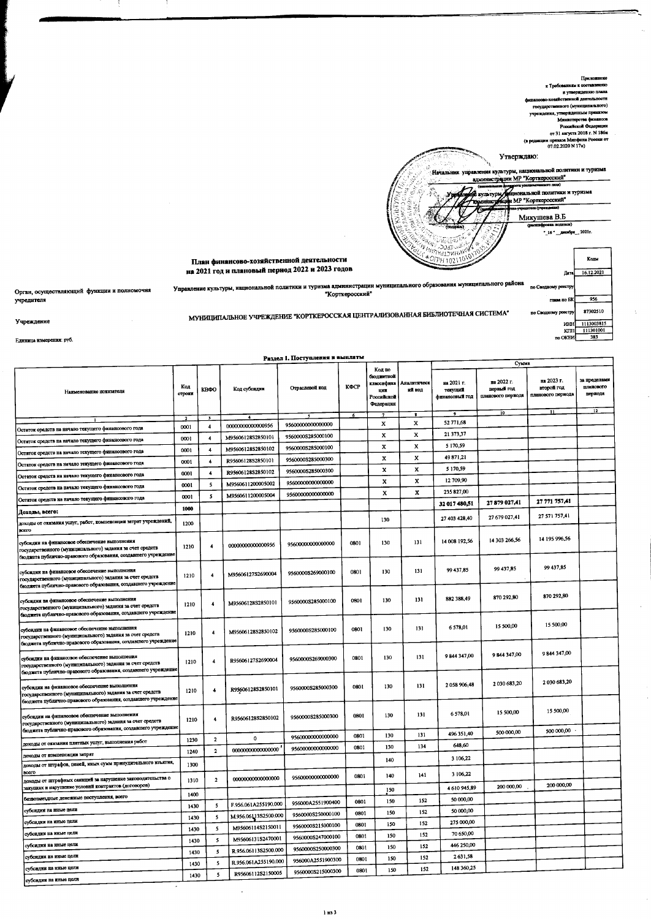

|                                                                                                                                                                             |               |                         |                      | Раздел 1. Поступления и выплаты |      |                                                                    |                              |                                                      | Сумма                                                            |                                                    |                                            |
|-----------------------------------------------------------------------------------------------------------------------------------------------------------------------------|---------------|-------------------------|----------------------|---------------------------------|------|--------------------------------------------------------------------|------------------------------|------------------------------------------------------|------------------------------------------------------------------|----------------------------------------------------|--------------------------------------------|
| Наименование показателя                                                                                                                                                     | Код<br>строки | KBOO                    | Код субсидин         | Отраслевой код                  | КФСР | Код по<br>бюджетной<br>классифика<br>取越<br>Российской<br>Федерации | Аналитическ<br>ий код        | на 2021 г.<br>тскущий<br>финансовый год<br>$\bullet$ | на 2022 г.<br>первый год<br>планового пернода<br>$\overline{10}$ | на 2023 г.<br>второй год<br>планового периода<br>n | за пределами<br>планового<br>периода<br>12 |
|                                                                                                                                                                             |               |                         |                      |                                 | -6   | x                                                                  | $\overline{\mathbf{3}}$<br>X | 52 771,68                                            |                                                                  |                                                    |                                            |
| Остаток средств на начало текущего финансового года                                                                                                                         | 0001          | 4                       | 0000000000000956     | 95600000000000000               |      |                                                                    |                              | 21 373,37                                            |                                                                  |                                                    |                                            |
| Остаток средств на начало текущего финансового года                                                                                                                         | 0001          | $\overline{\mathbf{4}}$ | M95606128S2850101    | 9560000S285000100               |      | x                                                                  | x                            | 5 170,59                                             |                                                                  |                                                    |                                            |
| Остаток средств на начало текущего финансового года                                                                                                                         | 0001          | 4                       | M95606128S2850102    | 9560000S285000100               |      | x                                                                  | x                            |                                                      |                                                                  |                                                    |                                            |
| Остаток средств на начало текущего финансового года                                                                                                                         | 0001          | $\clubsuit$             | R95606128S2850101    | 9560000S285000300               |      | X                                                                  | x                            | 49 871,21                                            |                                                                  |                                                    |                                            |
| Остаток средств на начало текущего финансового года                                                                                                                         | 0001          | $\blacktriangleleft$    | R95606128S2850102    | 9560000S285000300               |      | x                                                                  | x                            | 5 170,59                                             |                                                                  |                                                    |                                            |
| Остаток средств на начало текущего финансового года                                                                                                                         | 0001          | $\mathsf{s}$            | M9560611200005002    | 95600000000000000               |      | x                                                                  | x                            | 12 709,90<br>235 827,00                              |                                                                  |                                                    |                                            |
| Остаток средств на начало текущего финансового года                                                                                                                         | 0001          | 5                       | M9560611200005004    | 95600000000000000               |      | $\mathbf x$                                                        | x                            |                                                      | 27 879 027,41                                                    | 27 771 757,41                                      |                                            |
| Доходы, всего:                                                                                                                                                              | 1000          |                         |                      |                                 |      |                                                                    |                              | 32 017 480,51                                        |                                                                  |                                                    |                                            |
| доходы от оказания услуг, работ, компенсации затрат учреждений,<br>poero                                                                                                    | 1200          |                         |                      |                                 |      | 130                                                                |                              | 27 403 428,40                                        | 27 679 027,41                                                    | 27 571 757,41                                      |                                            |
| субсидни на финансовое обеспечение выполнения<br>государственного (муниципального) задания за счет средств<br>бюджета публично-правового образования, создавшего учреждение | 1210          | $\overline{\mathbf{4}}$ | 00000000000000956    | 95600000000000000               | 0801 | 130                                                                | 131                          | 14 008 192,56                                        | 14 303 266,56                                                    | 14 195 996,56                                      |                                            |
| субсидин на финансовое обеспечение выполнения<br>государственного (муниципального) задания за счет средств<br>бюджета публично-правового образования, создавшего учреждение | 1210          | $\clubsuit$             | M95606127S2690004    | 9560000S269000100               | 0801 | 130                                                                | 131                          | 99 437,85                                            | 99 437,85                                                        | 99 437,85                                          |                                            |
| субсидии на финансовое обеспечение выполнения<br>государственного (муниципального) задания за счет средств<br>бюджета публично-правового образования, создавшего учреждение | 1210          | $\overline{4}$          | M95606128S2850101    | 9560000S285000100               | 0801 | 130                                                                | 131                          | 882 388,49                                           | 870 292,80                                                       | 870 292,80                                         |                                            |
| субсидин на финансовое обеспечение выполнения<br>государственного (муниципального) задания за счет средств<br>бюджета публично-правового образования, создавшего учреждение | 1210          | $\overline{\mathbf{4}}$ | M95606128S2850102    | 9560000S285000100               | 0801 | 130                                                                | 131                          | 6 578,01                                             | 15 500,00                                                        | 15 500,00                                          |                                            |
| субсидии на финансовое обеспечение выполнения<br>государственного (муниципального) задания за счет средств<br>бюджета публично-правового образования, создавшего учреждение | 1210          | $\overline{4}$          | R95606127S2690004    | 9560000S269000300               | 0801 | 130                                                                | 131                          | 9 844 347,00                                         | 9844347,00                                                       | 9844347,00                                         |                                            |
| субсидии на финансовое обеспечение выполнения<br>государственного (муниципального) задания за счет средств<br>бюджета публично-правового образования, создавшего учреждение | 1210          | $\overline{4}$          | R95606128S2850101    | 9560000S285000300               | 0801 | 130                                                                | 131                          | 2058906,48                                           | 2030 683,20                                                      | 2030 683,20                                        |                                            |
| субсидин на финансовое обеспечение выполнения<br>государственного (муниципального) задания за счет средств<br>бюджета публично-правового образования, создавшего учреждение | 1210          | 4                       | R95606128S2850102    | 9560000S285000300               | 0801 | 130                                                                | 131                          | 6578,01                                              | 15 500,00                                                        | 15 500,00                                          |                                            |
|                                                                                                                                                                             | 1230          | $\mathbf{2}$            | 0                    | 95600000000000000               | 0801 | 130                                                                | 131                          | 496 351,40                                           | 500 000,00                                                       | 500 000,00                                         |                                            |
| доходы от оказания платных услуг, выполнения работ                                                                                                                          | 1240          | $\mathbf{2}$            | 00000000000000000    | 95600000000000000               | 0801 | 130                                                                | 134                          | 648,60                                               |                                                                  |                                                    |                                            |
| доходы от компенсации затрат<br>доходы от штрафов, пеней, иных сумм принудительного изъятия,                                                                                | 1300          |                         |                      |                                 |      | 140                                                                |                              | 3 106,22                                             |                                                                  |                                                    |                                            |
| BCCIO<br>доходы от штрафных санкций за нарушение законодательства о                                                                                                         | 1310          | $\mathbf{z}$            | 00000000000000000    | 95600000000000000               | 0801 | 140                                                                | 141                          | 3 106,22                                             |                                                                  |                                                    |                                            |
| закупках и нарушение условий контрактов (договоров)                                                                                                                         | 1400          |                         |                      |                                 |      | 150                                                                |                              | 4 610 945,89                                         | 200 000,00                                                       | 200 000,00                                         |                                            |
| безвозмездные денежные поступления, всего                                                                                                                                   | 1430          | -5                      | F.956.061A255190.000 | 956000A2551900400               | 0801 | 150                                                                | 152                          | 50 000,00                                            |                                                                  |                                                    |                                            |
| субсидии на иные цели                                                                                                                                                       | 1430          | 5                       | M.956.061382500.000  | 9560000S250000100               | 0801 | 150                                                                | 152                          | 50 000,00                                            |                                                                  |                                                    |                                            |
| субсидин на иные цели                                                                                                                                                       | 1430          | 5                       | M95606114S2150011    | 9560000S215000100               | 0801 | 150                                                                | 152                          | 275 000,00                                           |                                                                  |                                                    |                                            |
| субсидин на иные цели                                                                                                                                                       | 1430          | 5                       | M95606131S2470001    | 9560000S247000100               | 0801 | 150                                                                | 152                          | 70 650,00                                            |                                                                  |                                                    |                                            |
| субсидин на нные цели                                                                                                                                                       | 1430          | 5                       | R.956.06113S2500.000 | 9560000S250000300               | 0801 | 150                                                                | 152                          | 446 250,00                                           |                                                                  |                                                    |                                            |
| субсидин на нные цели                                                                                                                                                       | 1430          | 5                       | R.956.061A255190.000 | 956000A2551900300               | 0801 | 150                                                                | 152                          | 2631,58                                              |                                                                  |                                                    |                                            |
| субсидии на иные цели                                                                                                                                                       | 1430          | 5                       | R95606112S2150005    | 9560000S215000300               | 0801 | 150                                                                | 152                          | 148 360,25                                           |                                                                  |                                                    |                                            |
| субсидии на иные цели                                                                                                                                                       |               |                         |                      |                                 |      |                                                                    |                              |                                                      |                                                                  |                                                    |                                            |

 $\overline{a}$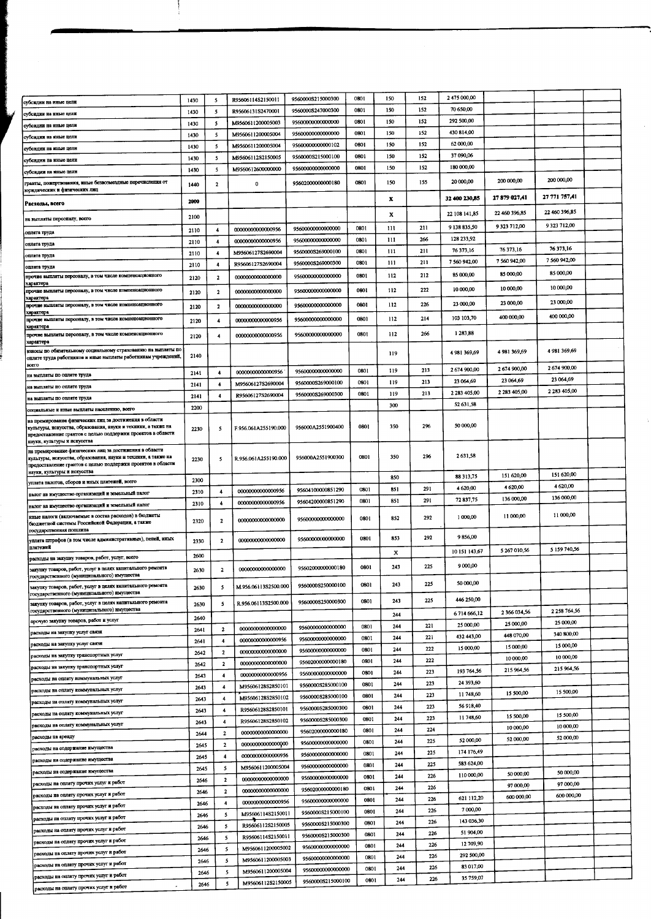| субсидии на иные цели                                                                                                                                                                                                 | 1430 | -5                      | R95606114S2150011    | 9560000S215000300 | 0801 | 150 | 152 | 2475000,00    |                 |                 |  |
|-----------------------------------------------------------------------------------------------------------------------------------------------------------------------------------------------------------------------|------|-------------------------|----------------------|-------------------|------|-----|-----|---------------|-----------------|-----------------|--|
| субсидин на иные цели                                                                                                                                                                                                 | 1430 | 5                       | R95606131S2470001    | 9560000S247000300 | 0801 | 150 | 152 | 70 650,00     |                 |                 |  |
| субсидин на иные цели                                                                                                                                                                                                 | 1430 | 5                       | M9560611200005003    | 95600000000000000 | 0801 | 150 | 152 | 292 500.00    |                 |                 |  |
| субсидин на иные цели                                                                                                                                                                                                 | 1430 | 5                       | M9560611200005004    | 95600000000000000 | 0801 | 150 | 152 | 430 814,00    |                 |                 |  |
| субсидии на иные цели                                                                                                                                                                                                 | 1430 | 5                       | M9560611200005004    | 95600000000000102 | 0801 | 150 | 152 | 62 000,00     |                 |                 |  |
| субсидин на иные цели                                                                                                                                                                                                 | 1430 | 5                       | M95606112S2150005    | 9560000S215000100 | 0801 | 150 | 152 | 37 090,06     |                 |                 |  |
| субсидии на иные цели                                                                                                                                                                                                 | 1430 | 5                       | M9560612600000000    | 95600000000000000 | 0801 | 150 | 152 | 180 000,00    |                 |                 |  |
| гранты, пожертвования, нные безвозмездные перечислення от                                                                                                                                                             | 1440 | 2                       | $\mathbf 0$          | 95602000000000180 | 0801 | 150 | 155 | 20 000,00     | 200 000,00      | 200 000,00      |  |
| юридических и физических лиц                                                                                                                                                                                          |      |                         |                      |                   |      |     |     |               |                 | 27 771 757,41   |  |
| Расходы, всего                                                                                                                                                                                                        | 2900 |                         |                      |                   |      | x   |     | 32 400 230,85 | 27879027,41     |                 |  |
|                                                                                                                                                                                                                       | 2100 |                         |                      |                   |      | х   |     | 22 108 141,85 | 22 460 396,85   | 22 460 396,85   |  |
| на выплаты персоналу, всего                                                                                                                                                                                           |      | $\overline{\mathbf{4}}$ | 00000000000000956    | 95600000000000000 | 0801 | 111 | 211 | 9 138 835,50  | 9 3 23 7 1 2,00 | 9 3 23 7 1 2,00 |  |
| оплата труда                                                                                                                                                                                                          | 2110 |                         | 00000000000000956    | 95600000000000000 | 0801 | 111 | 266 | 128 233,92    |                 |                 |  |
| ошата труда                                                                                                                                                                                                           | 2110 | 4                       |                      | 9560000S269000100 | 0801 | 111 | 211 | 76 373,16     | 76 373,16       | 76 373,16       |  |
| оплата труда                                                                                                                                                                                                          | 2110 | $\overline{4}$          | M95606127S2690004    | 95600008269000300 | 0801 | 111 | 211 | 7 560 942,00  | 7 560 942,00    | 7 560 942,00    |  |
| оплата труда                                                                                                                                                                                                          | 2110 | 4                       | R95606127S2690004    |                   |      |     |     |               | 85 000,00       | 85 000,00       |  |
| прочне выплаты персоналу, в том числе компенсационного<br>характера                                                                                                                                                   | 2120 | 2                       | 00000000000000000    | 95600000000000000 | 0801 | 112 | 212 | 85 000,00     |                 |                 |  |
| прочие выплаты персоналу, в том числе компенсационного                                                                                                                                                                | 2120 | $\mathbf{2}$            | 00000000000000000    | 95600000000000000 | 0801 | 112 | 222 | 10 000,00     | 10 000,00       | 10 000,00       |  |
| характера<br>прочне выплаты персоналу, в том числе компенсационного                                                                                                                                                   | 2120 | $\mathbf{z}$            | 00000000000000000    | 95600000000000000 | 0801 | 112 | 226 | 23 000,00     | 23 000,00       | 23 000,00       |  |
| характери                                                                                                                                                                                                             |      |                         |                      |                   |      |     |     | 103 103,70    | 400 000,00      | 400 000,00      |  |
| прочне выплаты персоналу, в том чноле компенсационного<br>характер                                                                                                                                                    | 2120 | 4                       | 00000000000000956    | 95600000000000000 | 0801 | 112 | 214 |               |                 |                 |  |
| прочне выплаты персоналу, в том числе компенсационного                                                                                                                                                                | 2120 | 4                       | 00000000000000956    | 95600000000000000 | 0801 | 112 | 266 | 1283,88       |                 |                 |  |
| характера<br>взносы по обязательному социальному страхованию на выплаты по                                                                                                                                            |      |                         |                      |                   |      |     |     |               | 4981369.69      | 4 981 369,69    |  |
| оплате труда работников и нные вышлаты работникам учреждений,                                                                                                                                                         | 2140 |                         |                      |                   |      | 119 |     | 4 981 369,69  |                 |                 |  |
| BOSTO                                                                                                                                                                                                                 | 2141 | 4                       | 00000000000000956    | 95600000000000000 | 0801 | 119 | 213 | 2674900,00    | 2674900,00      | 2674900,00      |  |
| на выплаты по оплате труда                                                                                                                                                                                            | 2141 | 4                       | M95606127S2690004    | 9560000S269000100 | 0801 | 119 | 213 | 23 064,69     | 23 064 69       | 23 064,69       |  |
| на выплаты по оплате труда                                                                                                                                                                                            |      | $\overline{4}$          | R95606127S2690004    | 9560000S269000300 | 0801 | 119 | 213 | 2 283 405,00  | 2 283 405,00    | 2 283 405,00    |  |
| на выплаты по оплате труда                                                                                                                                                                                            | 2141 |                         |                      |                   |      | 300 |     | 52 631,58     |                 |                 |  |
| социальные и иные выплаты населению, всего                                                                                                                                                                            | 2200 |                         |                      |                   |      |     |     |               |                 |                 |  |
| на премирование физических лиц за достижения в области<br>культуры, искусства, образования, науки и техники, а также на<br>предоставление грантов с целью поддержки проектов в области<br>науки, культуры и искусства | 2230 | 5                       | F.956.061A255190.000 | 956000A2551900400 | 0801 | 350 | 296 | 50 000,00     |                 |                 |  |
| на премирование физических лиц за достижения в области<br>культуры, искусства, образования, науки и техники, а также на<br>предоставление грантов с целью поддержки проектов в области                                | 2230 | 5                       | R.956.061A255190.000 | 956000A2551900300 | 0801 | 350 | 296 | 2631,58       |                 |                 |  |
| науки, культуры и искусства<br>унлата налогов, сборов и нных платежей, всего                                                                                                                                          | 2300 |                         |                      |                   |      | 850 |     | 88 313,75     | 151 620,00      | 151 620,00      |  |
|                                                                                                                                                                                                                       | 2310 | 4                       | 00000000000000956    | 95604100000851290 | 0801 | 851 | 291 | 4620,00       | 4 620,00        | 4 620,00        |  |
| налог на имущество организаций и земельный налог                                                                                                                                                                      | 2310 | 4                       | 00000000000000956    | 95604200000851290 | 0801 | 851 | 291 | 72837,75      | 136 000,00      | 136 000,00      |  |
| налог на имущество организаций и земельный налог                                                                                                                                                                      |      |                         |                      |                   |      |     |     |               |                 | 11 000,00       |  |
| иные налоги (включаемые в состав расходов) в бюджеты<br>бюджетной системы Российской Федерации, а также<br>государственная попынна                                                                                    | 2320 | $\mathbf{2}$            | 00000000000000000    | 95600000000000000 | 0801 | 852 | 292 | 1000,00       | 11 000,00       |                 |  |
| уплата штрафов (в том числе административных), пеней, иных                                                                                                                                                            | 2330 | $\overline{\mathbf{2}}$ | 00000000000000000    | 95600000000000000 | 0801 | 853 | 292 | 9856,00       |                 |                 |  |
| платежей                                                                                                                                                                                                              |      |                         |                      |                   |      | x   |     | 10 151 143,67 | 5 267 010,56    | 5 159 740,56    |  |
| расходы на закупку товаров, работ, услуг, всего                                                                                                                                                                       | 2600 |                         |                      |                   |      | 243 | 225 | 9 000,00      |                 |                 |  |
| закупку товаров, работ, услуг в целях капитального ремонта<br>государственного (муниципального) имущества                                                                                                             | 2630 | $\overline{\mathbf{2}}$ | 00000000000000000    | 95602000000000180 | 0801 |     |     |               |                 |                 |  |
| закупку товаров, работ, услуг в целях капитального ремонта<br>государственного (муниципального) имущества                                                                                                             | 2630 | 5                       | M.956.06113S2500.000 | 9560000S250000100 | 0801 | 243 | 225 | 50 000,00     |                 |                 |  |
| закупку товаров, работ, услуг в целях капитального ремонта                                                                                                                                                            | 2630 | 5                       | R.956.06113S2500.000 | 9560000S250000300 | 0801 | 243 | 225 | 446 250,00    |                 |                 |  |
| государственного (муниципального) имущества                                                                                                                                                                           | 2640 |                         |                      |                   |      | 244 |     | 6714 666,12   | 2 366 034,56    | 2 2 58 7 64, 56 |  |
| прочую закупку товаров, работ и услуг                                                                                                                                                                                 | 2641 | $\mathbf{2}$            | 00000000000000000    | 95600000000000000 | 0801 | 244 | 221 | 25 000,00     | 25 000,00       | 25 000,00       |  |
| расходы на закупку услуг связи                                                                                                                                                                                        | 2641 | 4                       | 00000000000000956    | 95600000000000000 | 0801 | 244 | 221 | 432 443,00    | 448 070,00      | 340 800,00      |  |
| расходы на закупку услуг связи                                                                                                                                                                                        | 2642 | $\overline{\mathbf{2}}$ | 00000000000000000    | 95600000000000000 | 0801 | 244 | 222 | 15 000,00     | 15 000,00       | 15 000,00       |  |
| расходы на закупку транспортных услуг                                                                                                                                                                                 |      | $\mathbf{2}$            | 00000000000000000    | 95602000000000180 | 0801 | 244 | 222 |               | 10 000,00       | 10 000,00       |  |
| расходы на закупку транспортных услуг                                                                                                                                                                                 | 2642 |                         | 00000000000000956    | 95600000000000000 | 0801 | 244 | 223 | 193 764,56    | 215 964,56      | 215 964,56      |  |
| расходы на оплату коммунальных услуг                                                                                                                                                                                  | 2643 | $\overline{\mathbf{4}}$ | M95606128S2850101    | 9560000S285000100 | 0801 | 244 | 223 | 24 393.60     |                 |                 |  |
| расходы на оплату коммунальных услуг                                                                                                                                                                                  | 2643 | $\overline{\mathbf{4}}$ |                      | 9560000S285000100 | 0801 | 244 | 223 | 11 748,60     | 15 500,00       | 15 500,00       |  |
| расходы на оплату коммунальных услуг                                                                                                                                                                                  | 2643 | -4                      | M95606128S2850102    | 9560000S285000300 | 0801 | 244 | 223 | 56 918,40     |                 |                 |  |
| расходы на оплату коммунальных услуг                                                                                                                                                                                  | 2643 | 4                       | R95606128S2850101    |                   |      | 244 | 223 | 11 748,60     | 15 500,00       | 15 500,00       |  |
| расходы на оплату коммунальных услуг                                                                                                                                                                                  | 2643 | 4                       | R95606128S2850102    | 9560000S285000300 | 0801 | 244 | 224 |               | 10 000,00       | 10 000,00       |  |
| расходы на аренду                                                                                                                                                                                                     | 2644 | $\overline{\mathbf{2}}$ | 00000000000000000    | 95602000000000180 | 0801 | 244 | 225 | 52 000 00     | 52 000,00       | 52 000,00       |  |
| расходы на содержание имущества                                                                                                                                                                                       | 2645 | $\overline{\mathbf{2}}$ | 00000000000000000    | 95600000000000000 | 0801 |     |     | 174 176,49    |                 |                 |  |
| расходы на содержание имущества                                                                                                                                                                                       | 2645 | 4                       | 00000000000000956    | 95600000000000000 | 0801 | 244 | 225 |               |                 |                 |  |
| расходы на содержание имущества                                                                                                                                                                                       | 2645 | 5                       | M9560611200005004    | 95600000000000000 | 0801 | 244 | 225 | 583 624,00    | 50 000,00       | 50 000,00       |  |
| расходы на оплату прочих услуг и работ                                                                                                                                                                                | 2646 | $\mathbf{2}$            | 00000000000000000    | 95600000000000000 | 0801 | 244 | 226 | 110 000,00    |                 | 97 000,00       |  |
| расходы на оплату прочих услуг и работ                                                                                                                                                                                | 2646 | $\mathbf{2}$            | 00000000000000000    | 95602000000000180 | 0801 | 244 | 226 |               | 97 000,00       | 600 000,00      |  |
| расходы на оплату прочих услуг и работ                                                                                                                                                                                | 2646 | 4                       | 00000000000000956    | 95600000000000000 | 0801 | 244 | 226 | 621 112,20    | 600 000,00      |                 |  |
| расходы на оплату прочих услуг и работ                                                                                                                                                                                | 2646 | 5                       | M95606114S2150011    | 9560000S215000100 | 0801 | 244 | 226 | 7 000,00      |                 |                 |  |
|                                                                                                                                                                                                                       | 2646 | 5                       | R95606112S2150005    | 9560000S215000300 | 0801 | 244 | 226 | 143 036,30    |                 |                 |  |
| расходы на оплату прочих услуг и работ                                                                                                                                                                                | 2646 | 5                       | R95606114S2150011    | 9560000S215000300 | 0801 | 244 | 226 | 51 904,00     |                 |                 |  |
| засходы на оплату прочих услуг и работ                                                                                                                                                                                | 2646 | 5                       | M9560611200005002    | 95600000000000000 | 0801 | 244 | 226 | 12 709,90     |                 |                 |  |
| расходы на оплату прочих услуг и работ                                                                                                                                                                                | 2646 | 5                       | M9560611200005003    | 95600000000000000 | 0801 | 244 | 226 | 292 500,00    |                 |                 |  |
| эасходы на оплату прочих услуг и работ                                                                                                                                                                                | 2646 | 5                       | M9560611200005004    | 95600000000000000 | 0801 | 244 | 226 | 83 017,00     |                 |                 |  |
| расходы на оплату прочих услуг и работ                                                                                                                                                                                | 2646 | 5                       | M95606112S2150005    | 9560000S215000100 | 0801 | 244 | 226 | 35 759,07     |                 |                 |  |
| расходы на оплату прочих услуг и работ                                                                                                                                                                                |      |                         |                      |                   |      |     |     |               |                 |                 |  |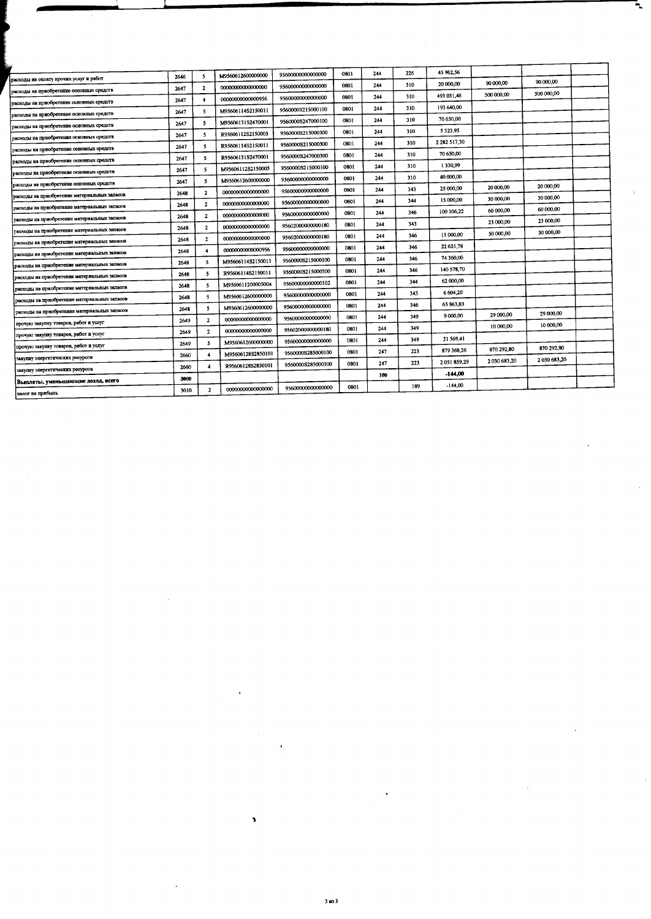|                                              |      |                         |                   |                   |      |     |     | 45 962,56              |             |             |  |
|----------------------------------------------|------|-------------------------|-------------------|-------------------|------|-----|-----|------------------------|-------------|-------------|--|
| расходы на оплату прочих услуг и работ       | 2646 | 5                       | M9560612600000000 | 95600000000000000 | 0801 | 244 | 226 | 20 000,00              | 90 000,00   | 90 000,00   |  |
| расходы на приобретение основных средств     | 2647 | $\mathbf{2}$            | 00000000000000000 | 95600000000000000 | 0801 | 244 | 310 | 493 031.46             | 500 000,00  | 500 000,00  |  |
| расходы на приобретение основных средств     | 2647 | 4                       | 00000000000000956 | 95600000000000000 | 0801 | 244 | 310 | 193 640,00             |             |             |  |
| расходы на приобретение основных средств     | 2647 | 5                       | M95606114S2150011 | 9560000S215000100 | 0801 | 244 | 310 | 70 650,00              |             |             |  |
| расходы на приобретение основных средств     | 2647 | 5                       | M95606131S2470001 | 9560000S247000100 | 0801 | 244 | 310 | 5 3 2 3 9 5            |             |             |  |
| расходы на приобретение основных средств     | 2647 | 5                       | R95606112S2150005 | 9560000S215000300 | 0801 | 244 | 310 | 2 2 8 2 5 1 7 3 0      |             |             |  |
| расходы на приобретение основных средств     | 2647 | 5                       | R95606114S2150011 | 9560000S215000300 | 0801 | 244 | 310 | 70 650,00              |             |             |  |
| расходы на приобретение основных средств     | 2647 | 5                       | R95606131S2470001 | 9560000S247000300 | 0801 | 244 | 310 | 1330,99                |             |             |  |
| расходы на приобретение основных средств     | 2647 | 5                       | M95606112S2150005 | 9560000S215000100 | 0801 | 244 | 310 | 40 000,00              |             |             |  |
| расходы на приобретение основных средств     | 2647 | 5                       | M9560612600000000 | 95600000000000000 | 0801 | 244 | 310 | 25 000,00              | 20 000,00   | 20 000,00   |  |
| расходы на приобретение материальных запасов | 2648 | $\overline{2}$          | 00000000000000000 | 95600000000000000 | 0801 | 244 | 343 | 15 000,00              | 30 000,00   | 30 000,00   |  |
| расходы на приобретение материальных запасов | 2648 | $\overline{2}$          | 00000000000000000 | 9560000000000000  | 0801 | 244 | 344 | 100 106,22             | 60 000,00   | 60 000 00   |  |
| расходы на прнобретение материальных запасов | 2648 | $\mathbf{z}$            | 00000000000000000 | 95600000000000000 | 0801 | 244 | 346 |                        | 23 000,00   | 23 000,00   |  |
| расходы на приобретение материальных запасов | 2648 | $\mathbf{z}$            | 00000000000000000 | 95602000000000180 | 0801 | 244 | 343 | 11 000:00              | 50 000,00   | 50 000,00   |  |
| расходы на приобретение материальных запасов | 2648 | $\mathbf{2}$            | 00000000000000000 | 95602000000000180 | 0801 | 244 | 346 | 22 621,78              |             |             |  |
| расходы на приобретение материальных запасов | 2648 | 4                       | 00000000000000956 | 95600000000000000 | 0801 | 244 | 346 | 74 360,00              |             |             |  |
| расходы на приобретение материальных запасов | 2648 | 5                       | M95606114S2150011 | 9560000S215000100 | 0801 | 244 | 346 | 140 578,70             |             |             |  |
| расходы на приобретение материальных запасов | 2648 | 5                       | R95606114S2150011 | 9560000S215000300 | 0801 | 244 | 346 | 62 000,00              |             |             |  |
| расходы на приобретение материальных запасов | 2648 | 5                       | M9560611200005004 | 95600000000000102 | 0301 | 244 | 344 | 6 604,20               |             |             |  |
| расходы на приобретение материальных запасов | 2648 | 5                       | M956061260000000  | 95600000000000000 | 0801 | 244 | 343 | 65 863.83              |             |             |  |
| расходы на приобретение материальных запасов | 2648 | 5                       | M9560612600000000 | 95600000000000000 | 0801 | 244 | 346 | 9 000,00               | 29 000,00   | 29 000,00   |  |
| прочую закупку товаров, работ и услуг        | 2649 | $\overline{\mathbf{z}}$ | 00000000000000000 | 95600000000000000 | 0801 | 244 | 349 |                        | 10 000,00   | 10 000,00   |  |
| прочую закупку товаров, работ и услуг        | 2649 | $\mathbf{z}$            | 00000000000000000 | 95602000000000180 | 0801 | 244 | 349 | 21 569,41              |             |             |  |
| прочую закупку товаров, работ и услуг        | 2649 | 5                       | M9560612600000000 | 95600000000000000 | 0801 | 244 | 349 | 879 368.26             | 870 292,80  | 870 292,80  |  |
| закупку энергетических ресурсов              | 2660 | $\overline{4}$          | M95606128S2850101 | 9560000S285000100 | 0801 | 247 | 223 | 2051859.29             | 2030 683,20 | 2030 683,20 |  |
| закупку энергетических ресурсов              | 2660 | 4                       | R95606128S2850101 | 9560000S285000300 | 0801 | 247 | 223 |                        |             |             |  |
| Выплаты, уменьшающие доход, всего            | 3000 |                         |                   |                   |      | 100 |     | $-144,00$<br>$-144,00$ |             |             |  |
| налог на шийбыль                             | 3010 | $\overline{\mathbf{2}}$ | 00000000000000000 | 95600000000000000 | 0801 |     | 189 |                        |             |             |  |

**V**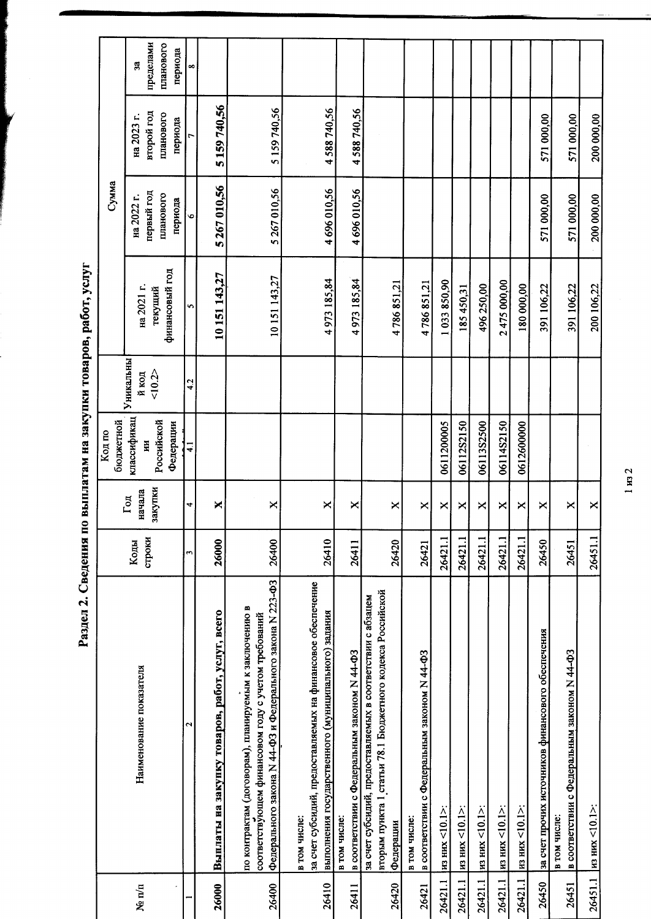Раздел 2. Сведения по выплатам на закупки товаров, работ, услуг

 $1 \text{ m}$  2